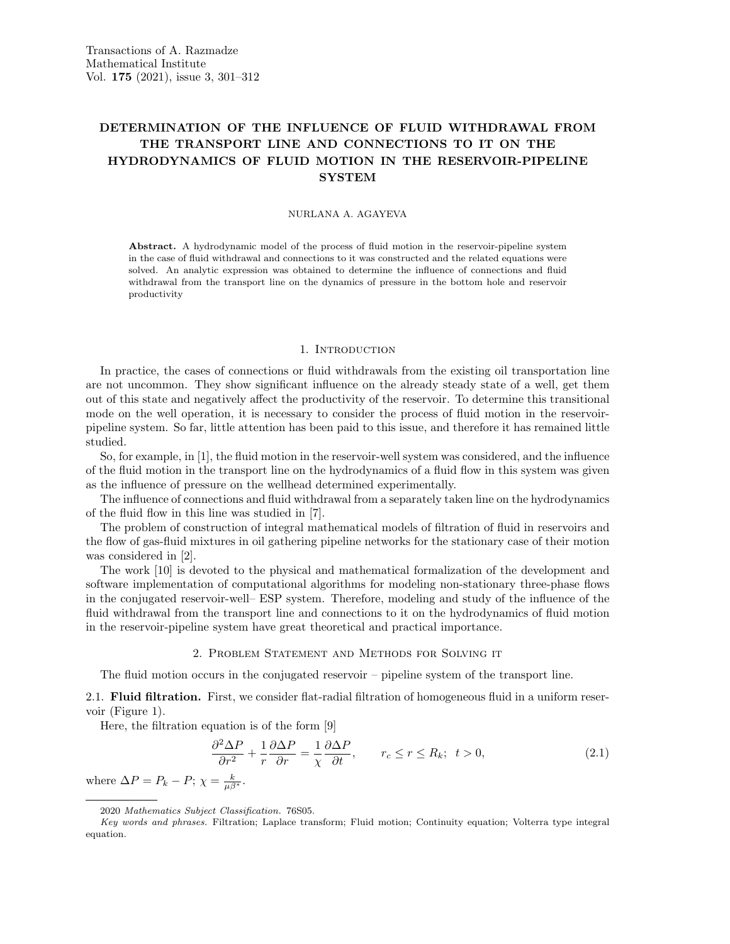# DETERMINATION OF THE INFLUENCE OF FLUID WITHDRAWAL FROM THE TRANSPORT LINE AND CONNECTIONS TO IT ON THE HYDRODYNAMICS OF FLUID MOTION IN THE RESERVOIR-PIPELINE **SYSTEM**

#### NURLANA A. AGAYEVA

Abstract. A hydrodynamic model of the process of fluid motion in the reservoir-pipeline system in the case of fluid withdrawal and connections to it was constructed and the related equations were solved. An analytic expression was obtained to determine the influence of connections and fluid withdrawal from the transport line on the dynamics of pressure in the bottom hole and reservoir productivity

#### 1. INTRODUCTION

In practice, the cases of connections or fluid withdrawals from the existing oil transportation line are not uncommon. They show significant influence on the already steady state of a well, get them out of this state and negatively affect the productivity of the reservoir. To determine this transitional mode on the well operation, it is necessary to consider the process of fluid motion in the reservoirpipeline system. So far, little attention has been paid to this issue, and therefore it has remained little studied.

So, for example, in [1], the fluid motion in the reservoir-well system was considered, and the influence of the fluid motion in the transport line on the hydrodynamics of a fluid flow in this system was given as the influence of pressure on the wellhead determined experimentally.

The influence of connections and fluid withdrawal from a separately taken line on the hydrodynamics of the fluid flow in this line was studied in [7].

The problem of construction of integral mathematical models of filtration of fluid in reservoirs and the flow of gas-fluid mixtures in oil gathering pipeline networks for the stationary case of their motion was considered in [2].

The work [10] is devoted to the physical and mathematical formalization of the development and software implementation of computational algorithms for modeling non-stationary three-phase flows in the conjugated reservoir-well– ESP system. Therefore, modeling and study of the influence of the fluid withdrawal from the transport line and connections to it on the hydrodynamics of fluid motion in the reservoir-pipeline system have great theoretical and practical importance.

# 2. Problem Statement and Methods for Solving it

The fluid motion occurs in the conjugated reservoir – pipeline system of the transport line.

2.1. Fluid filtration. First, we consider flat-radial filtration of homogeneous fluid in a uniform reservoir (Figure 1).

Here, the filtration equation is of the form [9]

$$
\frac{\partial^2 \Delta P}{\partial r^2} + \frac{1}{r} \frac{\partial \Delta P}{\partial r} = \frac{1}{\chi} \frac{\partial \Delta P}{\partial t}, \qquad r_c \le r \le R_k; \ t > 0,
$$
\n(2.1)

where  $\Delta P = P_k - P; \ \chi = \frac{k}{\mu \beta^*}.$ 

<sup>2020</sup> Mathematics Subject Classification. 76S05.

Key words and phrases. Filtration; Laplace transform; Fluid motion; Continuity equation; Volterra type integral equation.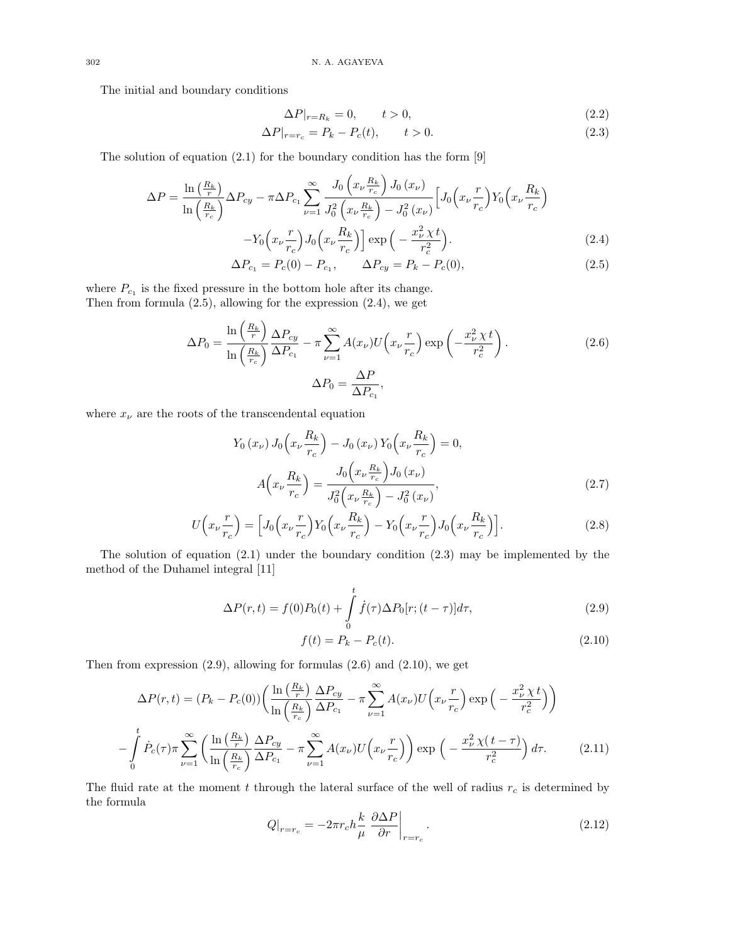The initial and boundary conditions

$$
\Delta P|_{r=R_k} = 0, \qquad t > 0,\tag{2.2}
$$

$$
\Delta P|_{r=r_c} = P_k - P_c(t), \qquad t > 0. \tag{2.3}
$$

The solution of equation (2.1) for the boundary condition has the form [9]

$$
\Delta P = \frac{\ln\left(\frac{R_k}{r}\right)}{\ln\left(\frac{R_k}{r_c}\right)} \Delta P_{cy} - \pi \Delta P_{c_1} \sum_{\nu=1}^{\infty} \frac{J_0\left(x_{\nu} \frac{R_k}{r_c}\right) J_0\left(x_{\nu}\right)}{J_0^2\left(x_{\nu} \frac{R_k}{r_c}\right) - J_0^2\left(x_{\nu}\right)} \left[J_0\left(x_{\nu} \frac{r}{r_c}\right) Y_0\left(x_{\nu} \frac{R_k}{r_c}\right) - Y_0\left(x_{\nu} \frac{r}{r_c}\right) J_0\left(x_{\nu} \frac{R_k}{r_c}\right)\right] \exp\left(-\frac{x_{\nu}^2 \chi t}{r_c^2}\right).
$$
\n
$$
\Delta P = P(0) \quad P \quad \Delta P = P(0)
$$
\n(2.5)

$$
\Delta P_{c_1} = P_c(0) - P_{c_1}, \qquad \Delta P_{cy} = P_k - P_c(0), \tag{2.5}
$$

where  $P_{c_1}$  is the fixed pressure in the bottom hole after its change. Then from formula (2.5), allowing for the expression (2.4), we get

$$
\Delta P_0 = \frac{\ln\left(\frac{R_k}{r}\right)}{\ln\left(\frac{R_k}{r_c}\right)} \frac{\Delta P_{cy}}{\Delta P_{c_1}} - \pi \sum_{\nu=1}^{\infty} A(x_{\nu}) U\left(x_{\nu} \frac{r}{r_c}\right) \exp\left(-\frac{x_{\nu}^2 \chi t}{r_c^2}\right).
$$
\n
$$
\Delta P_0 = \frac{\Delta P}{\Delta P_{c_1}},
$$
\n(2.6)

where  $x_{\nu}$  are the roots of the transcendental equation

$$
Y_0(x_\nu) J_0\left(x_\nu \frac{R_k}{r_c}\right) - J_0(x_\nu) Y_0\left(x_\nu \frac{R_k}{r_c}\right) = 0,
$$
  

$$
A\left(x_\nu \frac{R_k}{r_c}\right) = \frac{J_0\left(x_\nu \frac{R_k}{r_c}\right) J_0(x_\nu)}{J_0^2\left(x_\nu \frac{R_k}{r_c}\right) - J_0^2(x_\nu)},
$$
(2.7)

$$
U\left(x_{\nu}\frac{r}{r_c}\right) = \left[J_0\left(x_{\nu}\frac{r}{r_c}\right)Y_0\left(x_{\nu}\frac{R_k}{r_c}\right) - Y_0\left(x_{\nu}\frac{r}{r_c}\right)J_0\left(x_{\nu}\frac{R_k}{r_c}\right)\right].\tag{2.8}
$$

The solution of equation (2.1) under the boundary condition (2.3) may be implemented by the method of the Duhamel integral [11]

$$
\Delta P(r,t) = f(0)P_0(t) + \int_0^t \dot{f}(\tau)\Delta P_0[r; (t-\tau)]d\tau,
$$
\n(2.9)

$$
f(t) = P_k - P_c(t).
$$
 (2.10)

Then from expression  $(2.9)$ , allowing for formulas  $(2.6)$  and  $(2.10)$ , we get

$$
\Delta P(r,t) = (P_k - P_c(0)) \left( \frac{\ln\left(\frac{R_k}{r}\right)}{\ln\left(\frac{R_k}{r_c}\right)} \frac{\Delta P_{cy}}{\Delta P_{c_1}} - \pi \sum_{\nu=1}^{\infty} A(x_{\nu}) U\left(x_{\nu} \frac{r}{r_c}\right) \exp\left(-\frac{x_{\nu}^2 \chi t}{r_c^2}\right) \right)
$$

$$
- \int_0^t \dot{P}_c(\tau) \pi \sum_{\nu=1}^{\infty} \left( \frac{\ln\left(\frac{R_k}{r}\right)}{\ln\left(\frac{R_k}{r_c}\right)} \frac{\Delta P_{cy}}{\Delta P_{c_1}} - \pi \sum_{\nu=1}^{\infty} A(x_{\nu}) U\left(x_{\nu} \frac{r}{r_c}\right) \right) \exp\left(-\frac{x_{\nu}^2 \chi(t-\tau)}{r_c^2}\right) d\tau. \tag{2.11}
$$

The fluid rate at the moment t through the lateral surface of the well of radius  $r_c$  is determined by the formula

$$
Q|_{r=r_c} = -2\pi r_c h \frac{k}{\mu} \left. \frac{\partial \Delta P}{\partial r} \right|_{r=r_c}.
$$
\n(2.12)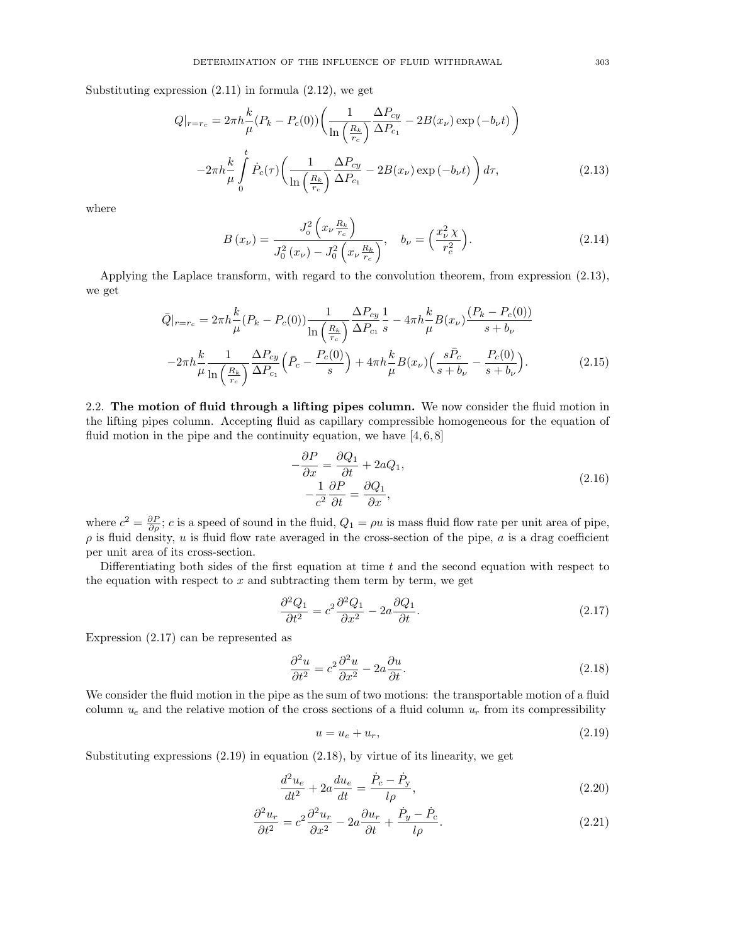Substituting expression  $(2.11)$  in formula  $(2.12)$ , we get

$$
Q|_{r=r_c} = 2\pi h \frac{k}{\mu} (P_k - P_c(0)) \left( \frac{1}{\ln\left(\frac{R_k}{r_c}\right)} \frac{\Delta P_{cy}}{\Delta P_{c_1}} - 2B(x_\nu) \exp(-b_\nu t) \right)
$$

$$
-2\pi h \frac{k}{\mu} \int_0^t \dot{P}_c(\tau) \left( \frac{1}{\ln\left(\frac{R_k}{r_c}\right)} \frac{\Delta P_{cy}}{\Delta P_{c_1}} - 2B(x_\nu) \exp(-b_\nu t) \right) d\tau,
$$
(2.13)

where

$$
B(x_{\nu}) = \frac{J_0^2 \left(x_{\nu} \frac{R_k}{r_c}\right)}{J_0^2 \left(x_{\nu}\right) - J_0^2 \left(x_{\nu} \frac{R_k}{r_c}\right)}, \quad b_{\nu} = \left(\frac{x_{\nu}^2 \chi}{r_c^2}\right). \tag{2.14}
$$

Applying the Laplace transform, with regard to the convolution theorem, from expression (2.13), we get

$$
\bar{Q}|_{r=r_c} = 2\pi h \frac{k}{\mu} (P_k - P_c(0)) \frac{1}{\ln\left(\frac{R_k}{r_c}\right)} \frac{\Delta P_{cy}}{\Delta P_{c_1}} \frac{1}{s} - 4\pi h \frac{k}{\mu} B(x_\nu) \frac{(P_k - P_c(0))}{s + b_\nu}
$$

$$
-2\pi h \frac{k}{\mu} \frac{1}{\ln\left(\frac{R_k}{r_c}\right)} \frac{\Delta P_{cy}}{\Delta P_{c_1}} \left(\bar{P}_c - \frac{P_c(0)}{s}\right) + 4\pi h \frac{k}{\mu} B(x_\nu) \left(\frac{s\bar{P}_c}{s + b_\nu} - \frac{P_c(0)}{s + b_\nu}\right). \tag{2.15}
$$

2.2. The motion of fluid through a lifting pipes column. We now consider the fluid motion in the lifting pipes column. Accepting fluid as capillary compressible homogeneous for the equation of fluid motion in the pipe and the continuity equation, we have  $[4, 6, 8]$ 

$$
-\frac{\partial P}{\partial x} = \frac{\partial Q_1}{\partial t} + 2aQ_1,
$$
  

$$
-\frac{1}{c^2}\frac{\partial P}{\partial t} = \frac{\partial Q_1}{\partial x},
$$
\n(2.16)

where  $c^2 = \frac{\partial P}{\partial \rho}$ ; c is a speed of sound in the fluid,  $Q_1 = \rho u$  is mass fluid flow rate per unit area of pipe,  $\rho$  is fluid density, u is fluid flow rate averaged in the cross-section of the pipe, a is a drag coefficient per unit area of its cross-section.

Differentiating both sides of the first equation at time  $t$  and the second equation with respect to the equation with respect to  $x$  and subtracting them term by term, we get

$$
\frac{\partial^2 Q_1}{\partial t^2} = c^2 \frac{\partial^2 Q_1}{\partial x^2} - 2a \frac{\partial Q_1}{\partial t}.
$$
\n(2.17)

Expression (2.17) can be represented as

$$
\frac{\partial^2 u}{\partial t^2} = c^2 \frac{\partial^2 u}{\partial x^2} - 2a \frac{\partial u}{\partial t}.
$$
\n(2.18)

We consider the fluid motion in the pipe as the sum of two motions: the transportable motion of a fluid column  $u_e$  and the relative motion of the cross sections of a fluid column  $u_r$  from its compressibility

$$
u = u_e + u_r,\tag{2.19}
$$

Substituting expressions  $(2.19)$  in equation  $(2.18)$ , by virtue of its linearity, we get

$$
\frac{d^2u_e}{dt^2} + 2a\frac{du_e}{dt} = \frac{\dot{P}_c - \dot{P}_y}{l\rho},
$$
\n(2.20)

$$
\frac{\partial^2 u_r}{\partial t^2} = c^2 \frac{\partial^2 u_r}{\partial x^2} - 2a \frac{\partial u_r}{\partial t} + \frac{\dot{P}_y - \dot{P}_c}{l\rho}.
$$
\n(2.21)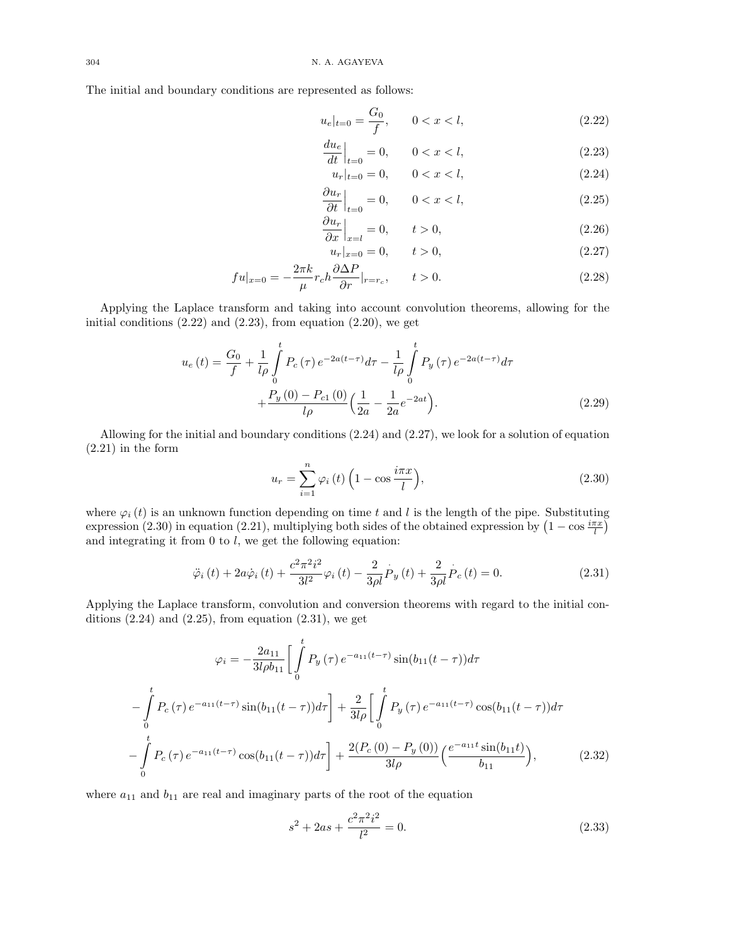The initial and boundary conditions are represented as follows:

$$
u_e|_{t=0} = \frac{G_0}{f}, \qquad 0 < x < l,\tag{2.22}
$$

$$
\left. \frac{du_e}{dt} \right|_{t=0} = 0, \qquad 0 < x < l,\tag{2.23}
$$
\n
$$
u_r|_{t=0} = 0, \qquad 0 < x < l,\tag{2.24}
$$

$$
\left. \frac{\partial u_r}{\partial t} \right|_{t=0} = 0, \qquad 0 < x < l,\tag{2.25}
$$

$$
\left. \frac{\partial u_r}{\partial x} \right|_{x=l} = 0, \qquad t > 0,
$$
\n(2.26)

$$
u_r|_{x=0} = 0, \t t > 0,
$$
\n(2.27)

$$
fu|_{x=0} = -\frac{2\pi k}{\mu}r_c h \frac{\partial \Delta P}{\partial r}|_{r=r_c}, \qquad t > 0.
$$
 (2.28)

Applying the Laplace transform and taking into account convolution theorems, allowing for the initial conditions  $(2.22)$  and  $(2.23)$ , from equation  $(2.20)$ , we get

$$
u_e(t) = \frac{G_0}{f} + \frac{1}{l\rho} \int_0^t P_c(\tau) e^{-2a(t-\tau)} d\tau - \frac{1}{l\rho} \int_0^t P_y(\tau) e^{-2a(t-\tau)} d\tau + \frac{P_y(0) - P_{c1}(0)}{l\rho} \Big(\frac{1}{2a} - \frac{1}{2a} e^{-2at}\Big).
$$
 (2.29)

Allowing for the initial and boundary conditions (2.24) and (2.27), we look for a solution of equation (2.21) in the form

$$
u_r = \sum_{i=1}^{n} \varphi_i(t) \left( 1 - \cos \frac{i\pi x}{l} \right),\tag{2.30}
$$

where  $\varphi_i(t)$  is an unknown function depending on time t and l is the length of the pipe. Substituting expression (2.30) in equation (2.21), multiplying both sides of the obtained expression by  $(1 - \cos \frac{i\pi x}{l})$ and integrating it from  $0$  to  $l$ , we get the following equation:

$$
\ddot{\varphi}_{i}(t) + 2a\dot{\varphi}_{i}(t) + \frac{c^{2}\pi^{2}i^{2}}{3l^{2}}\varphi_{i}(t) - \frac{2}{3\rho l}P_{y}(t) + \frac{2}{3\rho l}P_{c}(t) = 0.
$$
\n(2.31)

Applying the Laplace transform, convolution and conversion theorems with regard to the initial conditions  $(2.24)$  and  $(2.25)$ , from equation  $(2.31)$ , we get

$$
\varphi_{i} = -\frac{2a_{11}}{3l\rho b_{11}} \left[ \int_{0}^{t} P_{y}(\tau) e^{-a_{11}(t-\tau)} \sin(b_{11}(t-\tau)) d\tau \right]
$$

$$
-\int_{0}^{t} P_{c}(\tau) e^{-a_{11}(t-\tau)} \sin(b_{11}(t-\tau)) d\tau \right] + \frac{2}{3l\rho} \left[ \int_{0}^{t} P_{y}(\tau) e^{-a_{11}(t-\tau)} \cos(b_{11}(t-\tau)) d\tau \right]
$$

$$
-\int_{0}^{t} P_{c}(\tau) e^{-a_{11}(t-\tau)} \cos(b_{11}(t-\tau)) d\tau \right] + \frac{2(P_{c}(0) - P_{y}(0))}{3l\rho} \left( \frac{e^{-a_{11}t} \sin(b_{11}t)}{b_{11}} \right), \tag{2.32}
$$

where  $a_{11}$  and  $b_{11}$  are real and imaginary parts of the root of the equation

$$
s^2 + 2as + \frac{c^2 \pi^2 i^2}{l^2} = 0.
$$
\n(2.33)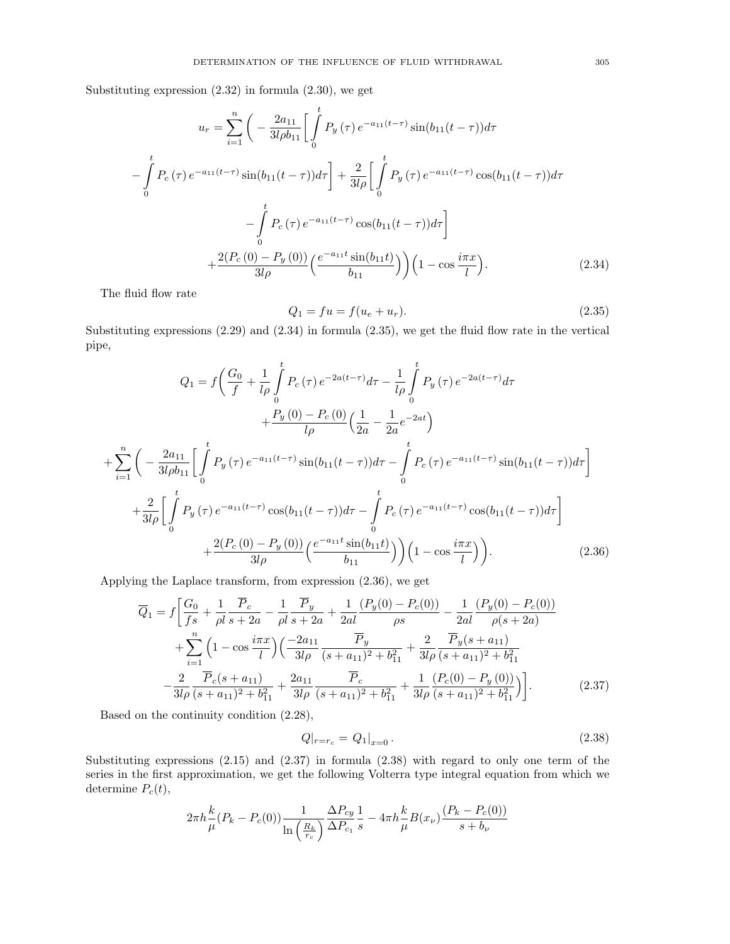Substituting expression (2.32) in formula (2.30), we get

$$
u_r = \sum_{i=1}^n \left( -\frac{2a_{11}}{3l\rho b_{11}} \left[ \int_0^t P_y(\tau) e^{-a_{11}(t-\tau)} \sin(b_{11}(t-\tau)) d\tau \right] \right. \\
\left. - \int_0^t P_c(\tau) e^{-a_{11}(t-\tau)} \sin(b_{11}(t-\tau)) d\tau \right] + \frac{2}{3l\rho} \left[ \int_0^t P_y(\tau) e^{-a_{11}(t-\tau)} \cos(b_{11}(t-\tau)) d\tau \right. \\
\left. - \int_0^t P_c(\tau) e^{-a_{11}(t-\tau)} \cos(b_{11}(t-\tau)) d\tau \right] \\
+ \frac{2(P_c(0) - P_y(0))}{3l\rho} \left( \frac{e^{-a_{11}t} \sin(b_{11}t)}{b_{11}} \right) \left( 1 - \cos \frac{i\pi x}{l} \right). \tag{2.34}
$$

The fluid flow rate

$$
Q_1 = fu = f(u_e + u_r). \t\t(2.35)
$$

Substituting expressions  $(2.29)$  and  $(2.34)$  in formula  $(2.35)$ , we get the fluid flow rate in the vertical pipe,

$$
Q_{1} = f\left(\frac{G_{0}}{f} + \frac{1}{l\rho}\int_{0}^{t} P_{c}(\tau) e^{-2a(t-\tau)} d\tau - \frac{1}{l\rho}\int_{0}^{t} P_{y}(\tau) e^{-2a(t-\tau)} d\tau + \frac{P_{y}(0) - P_{c}(0)}{l\rho}\left(\frac{1}{2a} - \frac{1}{2a}e^{-2at}\right) + \sum_{i=1}^{n} \left(-\frac{2a_{11}}{3l\rho b_{11}} \left[ \int_{0}^{t} P_{y}(\tau) e^{-a_{11}(t-\tau)} \sin(b_{11}(t-\tau)) d\tau - \int_{0}^{t} P_{c}(\tau) e^{-a_{11}(t-\tau)} \sin(b_{11}(t-\tau)) d\tau \right] + \frac{2}{3l\rho} \left[ \int_{0}^{t} P_{y}(\tau) e^{-a_{11}(t-\tau)} \cos(b_{11}(t-\tau)) d\tau - \int_{0}^{t} P_{c}(\tau) e^{-a_{11}(t-\tau)} \cos(b_{11}(t-\tau)) d\tau \right] + \frac{2(P_{c}(0) - P_{y}(0))}{3l\rho} \left(\frac{e^{-a_{11}t} \sin(b_{11}t)}{b_{11}}\right) \left(1 - \cos\frac{i\pi x}{l}\right) \right). \tag{2.36}
$$

Applying the Laplace transform, from expression (2.36), we get

$$
\overline{Q}_1 = f \left[ \frac{G_0}{fs} + \frac{1}{\rho l} \frac{\overline{P}_c}{s + 2a} - \frac{1}{\rho l} \frac{\overline{P}_y}{s + 2a} + \frac{1}{2al} \frac{(P_y(0) - P_c(0))}{\rho s} - \frac{1}{2al} \frac{(P_y(0) - P_c(0))}{\rho(s + 2a)} + \sum_{i=1}^n \left( 1 - \cos \frac{i\pi x}{l} \right) \left( \frac{-2a_{11}}{3l\rho} \frac{\overline{P}_y}{(s + a_{11})^2 + b_{11}^2} + \frac{2}{3l\rho} \frac{\overline{P}_y(s + a_{11})}{(s + a_{11})^2 + b_{11}^2} - \frac{2}{3l\rho} \frac{\overline{P}_c(s + a_{11})}{(s + a_{11})^2 + b_{11}^2} + \frac{2a_{11}}{3l\rho} \frac{\overline{P}_c}{(s + a_{11})^2 + b_{11}^2} + \frac{1}{3l\rho} \frac{(P_c(0) - P_y(0))}{(s + a_{11})^2 + b_{11}^2} \right].
$$
\n(2.37)

Based on the continuity condition (2.28),

$$
Q|_{r=r_c} = Q_1|_{x=0}.
$$
\n(2.38)

Substituting expressions (2.15) and (2.37) in formula (2.38) with regard to only one term of the series in the first approximation, we get the following Volterra type integral equation from which we determine  $P_c(t)$ ,

$$
2\pi h \frac{k}{\mu} (P_k - P_c(0)) \frac{1}{\ln\left(\frac{R_k}{r_c}\right)} \frac{\Delta P_{cy}}{\Delta P_{c_1}} \frac{1}{s} - 4\pi h \frac{k}{\mu} B(x_\nu) \frac{(P_k - P_c(0))}{s + b_\nu}
$$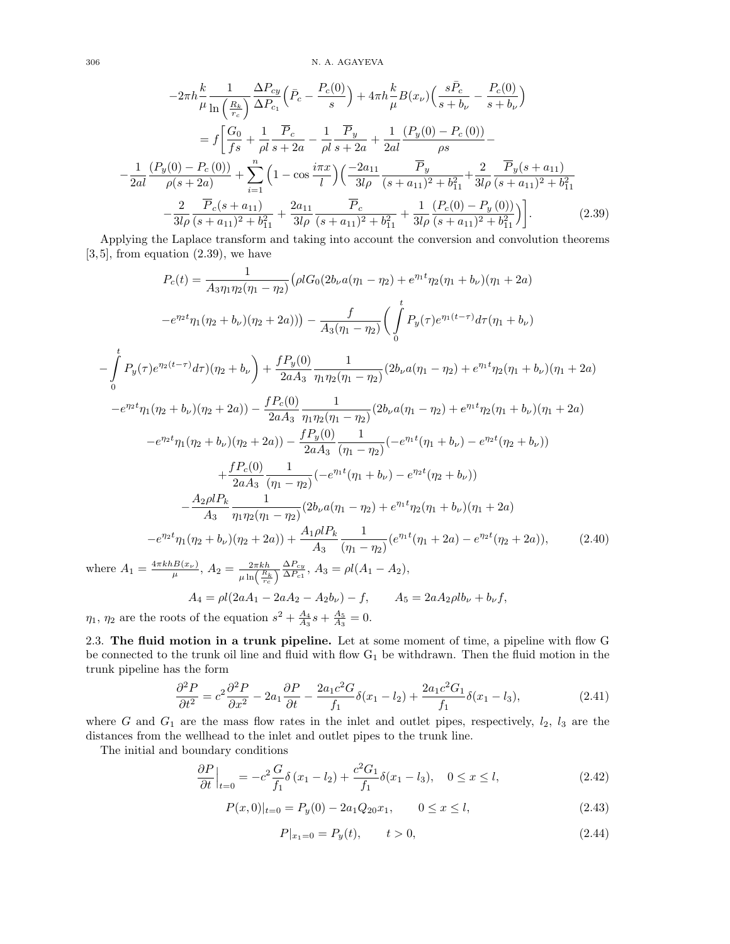$306$   $\,$  N. A. AGAYEVA

$$
-2\pi h \frac{k}{\mu} \frac{1}{\ln\left(\frac{R_k}{r_c}\right)} \frac{\Delta P_{cy}}{\Delta P_{c_1}} \left(\bar{P}_c - \frac{P_c(0)}{s}\right) + 4\pi h \frac{k}{\mu} B(x_\nu) \left(\frac{s\bar{P}_c}{s+b_\nu} - \frac{P_c(0)}{s+b_\nu}\right)
$$

$$
= f \left[\frac{G_0}{fs} + \frac{1}{\rho l} \frac{\bar{P}_c}{s+2a} - \frac{1}{\rho l} \frac{\bar{P}_y}{s+2a} + \frac{1}{2al} \frac{(P_y(0) - P_c(0))}{\rho s} - \frac{1}{2al} \frac{(P_y(0) - P_c(0))}{\rho(s+2a)} + \sum_{i=1}^n \left(1 - \cos\frac{i\pi x}{l}\right) \left(\frac{-2a_{11}}{3l\rho} \frac{\bar{P}_y}{(s+a_{11})^2 + b_{11}^2} + \frac{2}{3l\rho} \frac{\bar{P}_y(s+a_{11})}{(s+a_{11})^2 + b_{11}^2}\right)
$$

$$
- \frac{2}{3l\rho} \frac{\bar{P}_c(s+a_{11})}{(s+a_{11})^2 + b_{11}^2} + \frac{2a_{11}}{3l\rho} \frac{\bar{P}_c}{(s+a_{11})^2 + b_{11}^2} + \frac{1}{3l\rho} \frac{(P_c(0) - P_y(0))}{(s+a_{11})^2 + b_{11}^2}\right].
$$
(2.39)

Applying the Laplace transform and taking into account the conversion and convolution theorems  $[3, 5]$ , from equation  $(2.39)$ , we have

$$
P_c(t) = \frac{1}{A_3 \eta_1 \eta_2 (\eta_1 - \eta_2)} \left( \rho l G_0 (2b_\nu a (\eta_1 - \eta_2) + e^{\eta_1 t} \eta_2 (\eta_1 + b_\nu) (\eta_1 + 2a) \right)
$$

$$
-e^{\eta_2 t} \eta_1 (\eta_2 + b_\nu) (\eta_2 + 2a)) \right) - \frac{f}{A_3(\eta_1 - \eta_2)} \left( \int_0^t P_y(\tau) e^{\eta_1 (t - \tau)} d\tau (\eta_1 + b_\nu) \right)
$$

$$
\int_0^t P_y(\tau) e^{\eta_2 (t - \tau)} d\tau (\eta_2 + b_\nu) + \frac{f P_y(0)}{2aA_3} \frac{1}{\eta_1 \eta_2 (\eta_1 - \eta_2)} (2b_\nu a (\eta_1 - \eta_2) + e^{\eta_1 t} \eta_2 (\eta_1 + b_\nu) (\eta_1 + 2a)
$$

$$
-e^{\eta_2 t} \eta_1(\eta_2 + b_\nu)(\eta_2 + 2a)) - \frac{f P_c(0)}{2aA_3} \frac{1}{\eta_1 \eta_2(\eta_1 - \eta_2)} (2b_\nu a(\eta_1 - \eta_2) + e^{\eta_1 t} \eta_2(\eta_1 + b_\nu)(\eta_1 + 2a)
$$
  

$$
-e^{\eta_2 t} \eta_1(\eta_2 + b_\nu)(\eta_2 + 2a)) - \frac{f P_y(0)}{2aA_3} \frac{1}{(\eta_1 - \eta_2)} (-e^{\eta_1 t}(\eta_1 + b_\nu) - e^{\eta_2 t}(\eta_2 + b_\nu))
$$
  

$$
+ \frac{f P_c(0)}{2aA_3} \frac{1}{(\eta_1 - \eta_2)} (-e^{\eta_1 t}(\eta_1 + b_\nu) - e^{\eta_2 t}(\eta_2 + b_\nu))
$$
  

$$
- \frac{A_2 \rho l P_k}{A_3} \frac{1}{\eta_1 \eta_2(\eta_1 - \eta_2)} (2b_\nu a(\eta_1 - \eta_2) + e^{\eta_1 t} \eta_2(\eta_1 + b_\nu)(\eta_1 + 2a)
$$
  

$$
-e^{\eta_2 t} \eta_1(\eta_2 + b_\nu)(\eta_2 + 2a)) + \frac{A_1 \rho l P_k}{A_3} \frac{1}{(\eta_1 - \eta_2)} (e^{\eta_1 t}(\eta_1 + 2a) - e^{\eta_2 t}(\eta_2 + 2a)), \qquad (2.40)
$$

where  $A_1 = \frac{4\pi k h B(x_\nu)}{\mu}$ ,  $A_2 = \frac{2\pi k h}{\mu \ln\left(\frac{R_k}{r_c}\right)} \frac{\Delta P_{cy}}{\Delta P_{c1}}$  $\frac{\Delta P_{cy}}{\Delta P_{c1}}$ ,  $A_3 = \rho l (A_1 - A_2)$ ,  $A_4 = \rho l (2aA_1 - 2aA_2 - A_2b_\nu) - f$ ,  $A_5 = 2aA_2 \rho l b_\nu + b_\nu f$ ,

 $\eta_1, \eta_2$  are the roots of the equation  $s^2 + \frac{A_4}{A_3}s + \frac{A_5}{A_3} = 0$ .

2.3. The fluid motion in a trunk pipeline. Let at some moment of time, a pipeline with flow G be connected to the trunk oil line and fluid with flow  $G_1$  be withdrawn. Then the fluid motion in the trunk pipeline has the form

$$
\frac{\partial^2 P}{\partial t^2} = c^2 \frac{\partial^2 P}{\partial x^2} - 2a_1 \frac{\partial P}{\partial t} - \frac{2a_1 c^2 G}{f_1} \delta(x_1 - l_2) + \frac{2a_1 c^2 G_1}{f_1} \delta(x_1 - l_3),\tag{2.41}
$$

where G and  $G_1$  are the mass flow rates in the inlet and outlet pipes, respectively,  $l_2$ ,  $l_3$  are the distances from the wellhead to the inlet and outlet pipes to the trunk line.

The initial and boundary conditions

$$
\frac{\partial P}{\partial t}\Big|_{t=0} = -c^2 \frac{G}{f_1} \delta(x_1 - l_2) + \frac{c^2 G_1}{f_1} \delta(x_1 - l_3), \quad 0 \le x \le l,
$$
\n(2.42)

$$
P(x,0)|_{t=0} = P_y(0) - 2a_1 Q_{20} x_1, \qquad 0 \le x \le l,\tag{2.43}
$$

$$
P|_{x_1=0} = P_y(t), \qquad t > 0,
$$
\n(2.44)

−

0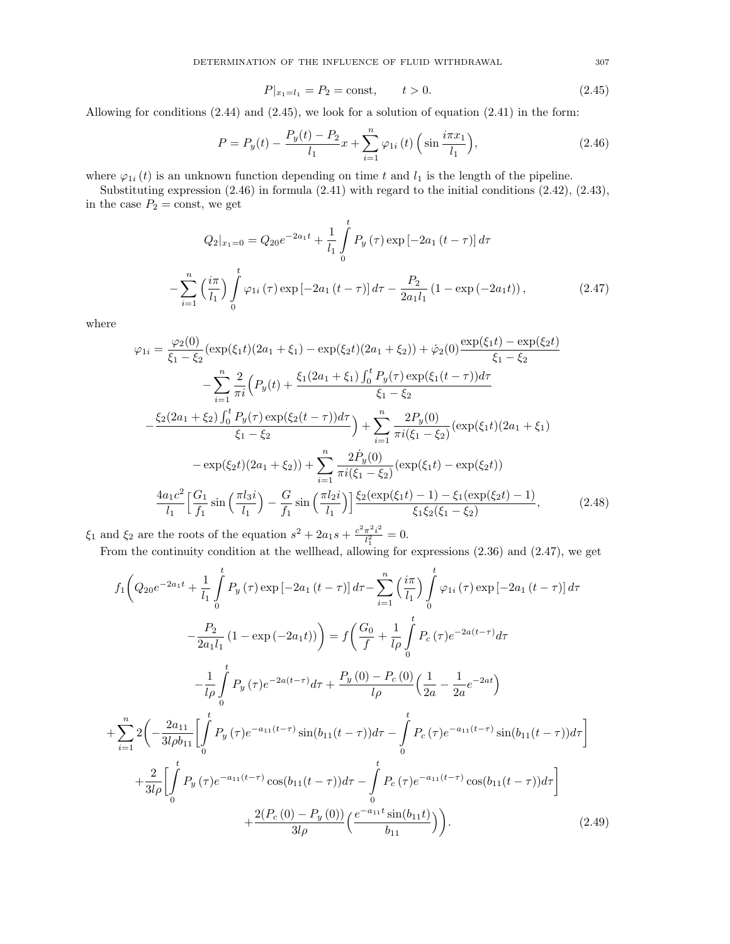$$
P|_{x_1=l_1} = P_2 = \text{const}, \qquad t > 0. \tag{2.45}
$$

Allowing for conditions  $(2.44)$  and  $(2.45)$ , we look for a solution of equation  $(2.41)$  in the form:

$$
P = P_y(t) - \frac{P_y(t) - P_2}{l_1}x + \sum_{i=1}^{n} \varphi_{1i}(t) \left(\sin \frac{i\pi x_1}{l_1}\right),\tag{2.46}
$$

where  $\varphi_{1i}(t)$  is an unknown function depending on time t and  $l_1$  is the length of the pipeline.

Substituting expression (2.46) in formula (2.41) with regard to the initial conditions (2.42), (2.43), in the case  $P_2 = \text{const}$ , we get

$$
Q_2|_{x_1=0} = Q_{20}e^{-2a_1t} + \frac{1}{l_1} \int_0^t P_y(\tau) \exp\left[-2a_1(t-\tau)\right] d\tau
$$

$$
-\sum_{i=1}^n \left(\frac{i\pi}{l_1}\right) \int_0^t \varphi_{1i}(\tau) \exp\left[-2a_1(t-\tau)\right] d\tau - \frac{P_2}{2a_1l_1} \left(1 - \exp\left(-2a_1t\right)\right),\tag{2.47}
$$

where

$$
\varphi_{1i} = \frac{\varphi_{2}(0)}{\xi_{1} - \xi_{2}} (\exp(\xi_{1}t)(2a_{1} + \xi_{1}) - \exp(\xi_{2}t)(2a_{1} + \xi_{2})) + \dot{\varphi}_{2}(0) \frac{\exp(\xi_{1}t) - \exp(\xi_{2}t)}{\xi_{1} - \xi_{2}} \n- \sum_{i=1}^{n} \frac{2}{\pi i} \Big( P_{y}(t) + \frac{\xi_{1}(2a_{1} + \xi_{1}) \int_{0}^{t} P_{y}(\tau) \exp(\xi_{1}(t - \tau)) d\tau}{\xi_{1} - \xi_{2}} \n- \frac{\xi_{2}(2a_{1} + \xi_{2}) \int_{0}^{t} P_{y}(\tau) \exp(\xi_{2}(t - \tau)) d\tau}{\xi_{1} - \xi_{2}} \Big) + \sum_{i=1}^{n} \frac{2P_{y}(0)}{\pi i(\xi_{1} - \xi_{2})} (\exp(\xi_{1}t)(2a_{1} + \xi_{1}) \n- \exp(\xi_{2}t)(2a_{1} + \xi_{2})) + \sum_{i=1}^{n} \frac{2\dot{P}_{y}(0)}{\pi i(\xi_{1} - \xi_{2})} (\exp(\xi_{1}t) - \exp(\xi_{2}t)) \n\frac{4a_{1}c^{2}}{l_{1}} \Big[ \frac{G_{1}}{f_{1}} \sin\left(\frac{\pi l_{3}i}{l_{1}}\right) - \frac{G}{f_{1}} \sin\left(\frac{\pi l_{2}i}{l_{1}}\right) \Big] \frac{\xi_{2}(\exp(\xi_{1}t) - 1) - \xi_{1}(\exp(\xi_{2}t) - 1)}{\xi_{1}\xi_{2}(\xi_{1} - \xi_{2})}, \qquad (2.48)
$$

 $\xi_1$  and  $\xi_2$  are the roots of the equation  $s^2 + 2a_1s + \frac{c^2\pi^2i^2}{l^2}$  $\frac{\pi^2 i^2}{l_1^2} = 0.$ 

From the continuity condition at the wellhead, allowing for expressions (2.36) and (2.47), we get

$$
f_{1}\left(Q_{20}e^{-2a_{1}t} + \frac{1}{l_{1}}\int_{0}^{t} P_{y}(\tau) \exp\left[-2a_{1}\left(t-\tau\right)\right] d\tau - \sum_{i=1}^{n} \left(\frac{i\pi}{l_{1}}\right) \int_{0}^{t} \varphi_{1i}(\tau) \exp\left[-2a_{1}\left(t-\tau\right)\right] d\tau -\frac{P_{2}}{2a_{1}l_{1}}\left(1 - \exp\left(-2a_{1}t\right)\right)\right) = f\left(\frac{G_{0}}{f} + \frac{1}{l\rho}\int_{0}^{t} P_{c}(\tau)e^{-2a(t-\tau)}d\tau -\frac{1}{l\rho}\int_{0}^{t} P_{y}(\tau)e^{-2a(t-\tau)}d\tau + \frac{P_{y}(0) - P_{c}(0)}{l\rho}\left(\frac{1}{2a} - \frac{1}{2a}e^{-2at}\right) +\sum_{i=1}^{n} 2\left(-\frac{2a_{11}}{3l\rho b_{11}}\left[\int_{0}^{t} P_{y}(\tau)e^{-a_{11}(t-\tau)}\sin(b_{11}(t-\tau))d\tau - \int_{0}^{t} P_{c}(\tau)e^{-a_{11}(t-\tau)}\sin(b_{11}(t-\tau))d\tau\right] +\frac{2}{3l\rho}\left[\int_{0}^{t} P_{y}(\tau)e^{-a_{11}(t-\tau)}\cos(b_{11}(t-\tau))d\tau - \int_{0}^{t} P_{c}(\tau)e^{-a_{11}(t-\tau)}\cos(b_{11}(t-\tau))d\tau\right] +\frac{2(P_{c}(0) - P_{y}(0))}{3l\rho}\left(\frac{e^{-a_{11}t}\sin(b_{11}t)}{b_{11}}\right)\right). \tag{2.49}
$$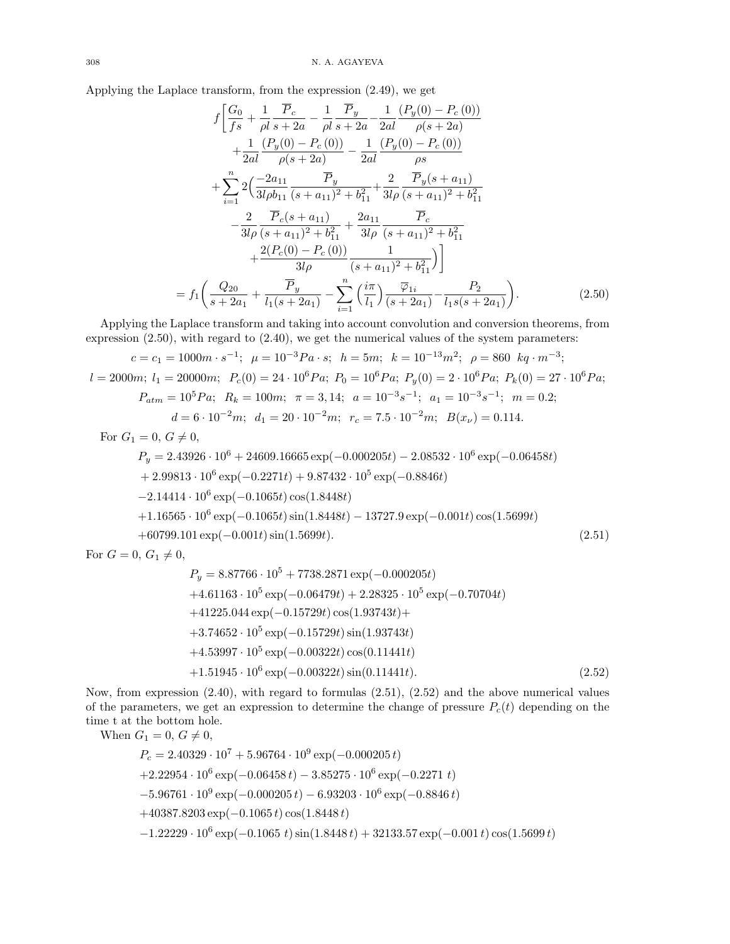Applying the Laplace transform, from the expression (2.49), we get

$$
f\left[\frac{G_0}{fs} + \frac{1}{\rho l} \frac{\overline{P}_c}{s+2a} - \frac{1}{\rho l} \frac{\overline{P}_y}{s+2a} - \frac{1}{2al} \frac{(P_y(0) - P_c(0))}{\rho(s+2a)} + \frac{1}{2al} \frac{(P_y(0) - P_c(0))}{\rho(s+2a)} - \frac{1}{2al} \frac{(P_y(0) - P_c(0))}{\rho s} + \sum_{i=1}^n 2\left(\frac{-2a_{11}}{3l\rho b_{11}} \frac{\overline{P}_y}{(s+a_{11})^2 + b_{11}^2} + \frac{2}{3l\rho} \frac{\overline{P}_y(s+a_{11})}{(s+a_{11})^2 + b_{11}^2} - \frac{2}{3l\rho} \frac{\overline{P}_c(s+a_{11})}{(s+a_{11})^2 + b_{11}^2} + \frac{2a_{11}}{3l\rho} \frac{\overline{P}_c}{(s+a_{11})^2 + b_{11}^2} + \frac{2(P_c(0) - P_c(0))}{3l\rho} - \frac{1}{(s+a_{11})^2 + b_{11}^2}\right) + \frac{2(P_c(0) - P_c(0))}{3l\rho} \frac{1}{(s+a_{11})^2 + b_{11}^2}\right)
$$
\n
$$
= f_1\left(\frac{Q_{20}}{s+2a_1} + \frac{\overline{P}_y}{l_1(s+2a_1)} - \sum_{i=1}^n \left(\frac{i\pi}{l_1}\right) \frac{\overline{\varphi}_{1i}}{(s+2a_1)} - \frac{P_2}{l_1s(s+2a_1)}\right). \tag{2.50}
$$

Applying the Laplace transform and taking into account convolution and conversion theorems, from expression (2.50), with regard to (2.40), we get the numerical values of the system parameters:

$$
c = c_1 = 1000m \cdot s^{-1}; \ \mu = 10^{-3}Pa \cdot s; \ \ h = 5m; \ k = 10^{-13}m^2; \ \rho = 860 \ \ kq \cdot m^{-3};
$$
  
\n
$$
l = 2000m; \ l_1 = 20000m; \ \ P_c(0) = 24 \cdot 10^6 Pa; \ \ P_0 = 10^6 Pa; \ \ P_y(0) = 2 \cdot 10^6 Pa; \ \ P_k(0) = 27 \cdot 10^6 Pa;
$$
  
\n
$$
P_{atm} = 10^5 Pa; \ \ R_k = 100m; \ \ \pi = 3, 14; \ \ a = 10^{-3} s^{-1}; \ \ a_1 = 10^{-3} s^{-1}; \ \ m = 0.2; \ \ d = 6 \cdot 10^{-2}m; \ \ d_1 = 20 \cdot 10^{-2}m; \ \ r_c = 7.5 \cdot 10^{-2}m; \ \ B(x_\nu) = 0.114.
$$
  
\nFor  $G_1 = 0, G \neq 0$ ,

$$
P_y = 2.43926 \cdot 10^6 + 24609.16665 \exp(-0.000205t) - 2.08532 \cdot 10^6 \exp(-0.06458t) + 2.99813 \cdot 10^6 \exp(-0.2271t) + 9.87432 \cdot 10^5 \exp(-0.8846t) - 2.14414 \cdot 10^6 \exp(-0.1065t) \cos(1.8448t) + 1.16565 \cdot 10^6 \exp(-0.1065t) \sin(1.8448t) - 13727.9 \exp(-0.001t) \cos(1.5699t) + 60799.101 \exp(-0.001t) \sin(1.5699t).
$$
 (2.51)

For  $G = 0, G_1 \neq 0,$ 

$$
P_y = 8.87766 \cdot 10^5 + 7738.2871 \exp(-0.000205t)
$$
  
+4.61163 \cdot 10^5 \exp(-0.06479t) + 2.28325 \cdot 10^5 \exp(-0.70704t)  
+41225.044 \exp(-0.15729t) \cos(1.93743t) +  
+3.74652 \cdot 10^5 \exp(-0.15729t) \sin(1.93743t)  
+4.53997 \cdot 10^5 \exp(-0.00322t) \cos(0.11441t)  
+1.51945 \cdot 10^6 \exp(-0.00322t) \sin(0.11441t). (2.52)

Now, from expression (2.40), with regard to formulas (2.51), (2.52) and the above numerical values of the parameters, we get an expression to determine the change of pressure  $P_c(t)$  depending on the time t at the bottom hole.

When  $G_1 = 0, G \neq 0$ ,  $P_c = 2.40329 \cdot 10^7 + 5.96764 \cdot 10^9 \exp(-0.000205 t)$  $+2.22954 \cdot 10^6 \exp(-0.06458 t) - 3.85275 \cdot 10^6 \exp(-0.2271 t)$  $-5.96761 \cdot 10^9 \exp(-0.000205 t) - 6.93203 \cdot 10^6 \exp(-0.8846 t)$ +40387.8203 exp(−0.1065 t) cos(1.8448 t)  $-1.22229 \cdot 10^6 \exp(-0.1065 t) \sin(1.8448 t) + 32133.57 \exp(-0.001 t) \cos(1.5699 t)$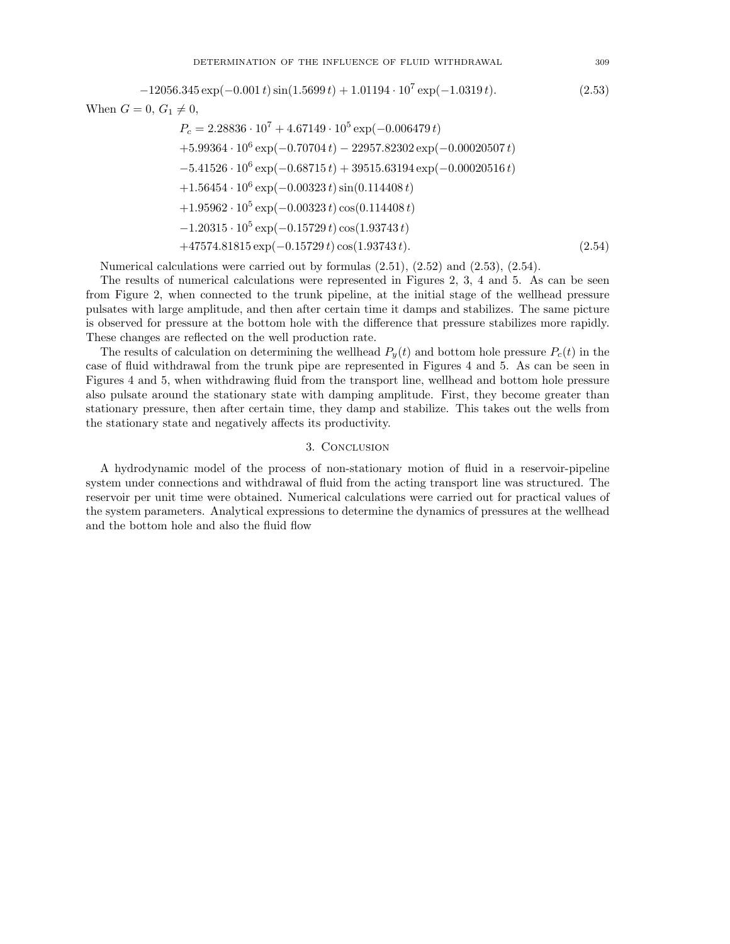$-12056.345 \exp(-0.001 t) \sin(1.5699 t) + 1.01194 \cdot 10^7 \exp(-1.0319 t).$  (2.53) When  $G = 0, G_1 \neq 0$ ,

$$
P_c = 2.28836 \cdot 10^7 + 4.67149 \cdot 10^5 \exp(-0.006479 t)
$$
  
+5.99364 \cdot 10^6 \exp(-0.70704 t) - 22957.82302 \exp(-0.00020507 t)  
-5.41526 \cdot 10^6 \exp(-0.68715 t) + 39515.63194 \exp(-0.00020516 t)  
+1.56454 \cdot 10^6 \exp(-0.00323 t) \sin(0.114408 t)  
+1.95962 \cdot 10^5 \exp(-0.00323 t) \cos(0.114408 t)  
-1.20315 \cdot 10^5 \exp(-0.15729 t) \cos(1.93743 t)  
+47574.81815 \exp(-0.15729 t) \cos(1.93743 t). (2.54)

Numerical calculations were carried out by formulas  $(2.51)$ ,  $(2.52)$  and  $(2.53)$ ,  $(2.54)$ .

The results of numerical calculations were represented in Figures 2, 3, 4 and 5. As can be seen from Figure 2, when connected to the trunk pipeline, at the initial stage of the wellhead pressure pulsates with large amplitude, and then after certain time it damps and stabilizes. The same picture is observed for pressure at the bottom hole with the difference that pressure stabilizes more rapidly. These changes are reflected on the well production rate.

The results of calculation on determining the wellhead  $P_y(t)$  and bottom hole pressure  $P_c(t)$  in the case of fluid withdrawal from the trunk pipe are represented in Figures 4 and 5. As can be seen in Figures 4 and 5, when withdrawing fluid from the transport line, wellhead and bottom hole pressure also pulsate around the stationary state with damping amplitude. First, they become greater than stationary pressure, then after certain time, they damp and stabilize. This takes out the wells from the stationary state and negatively affects its productivity.

## 3. Conclusion

A hydrodynamic model of the process of non-stationary motion of fluid in a reservoir-pipeline system under connections and withdrawal of fluid from the acting transport line was structured. The reservoir per unit time were obtained. Numerical calculations were carried out for practical values of the system parameters. Analytical expressions to determine the dynamics of pressures at the wellhead and the bottom hole and also the fluid flow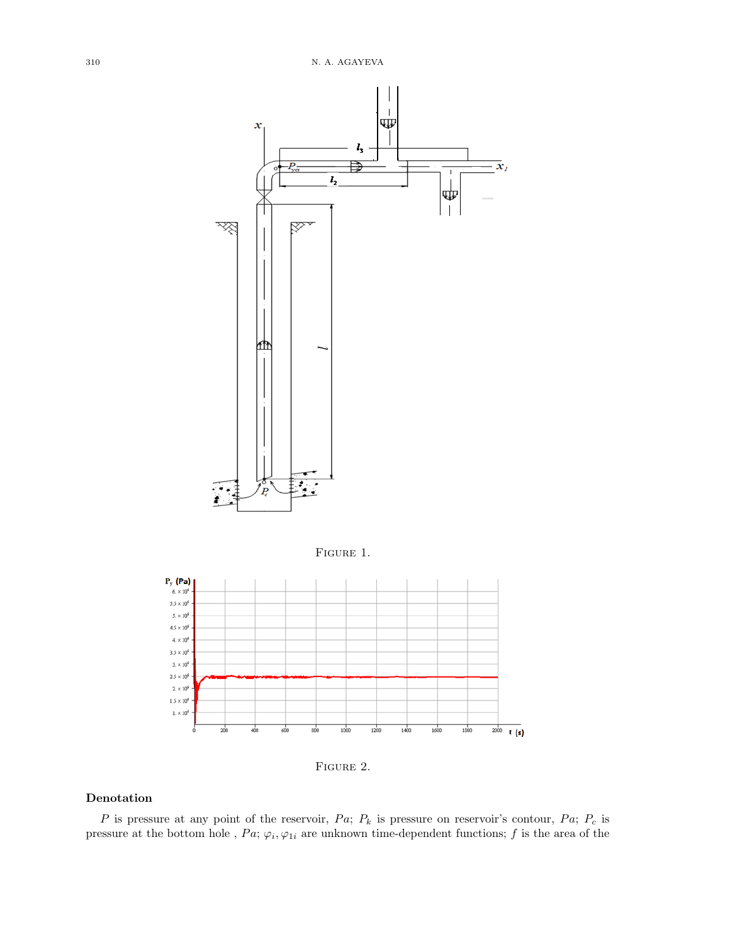



# Denotation

P is pressure at any point of the reservoir,  $Pa$ ;  $P_k$  is pressure on reservoir's contour,  $Pa$ ;  $P_c$  is pressure at the bottom hole,  $Pa$ ;  $\varphi_i, \varphi_i$  are unknown time-dependent functions; f is the area of the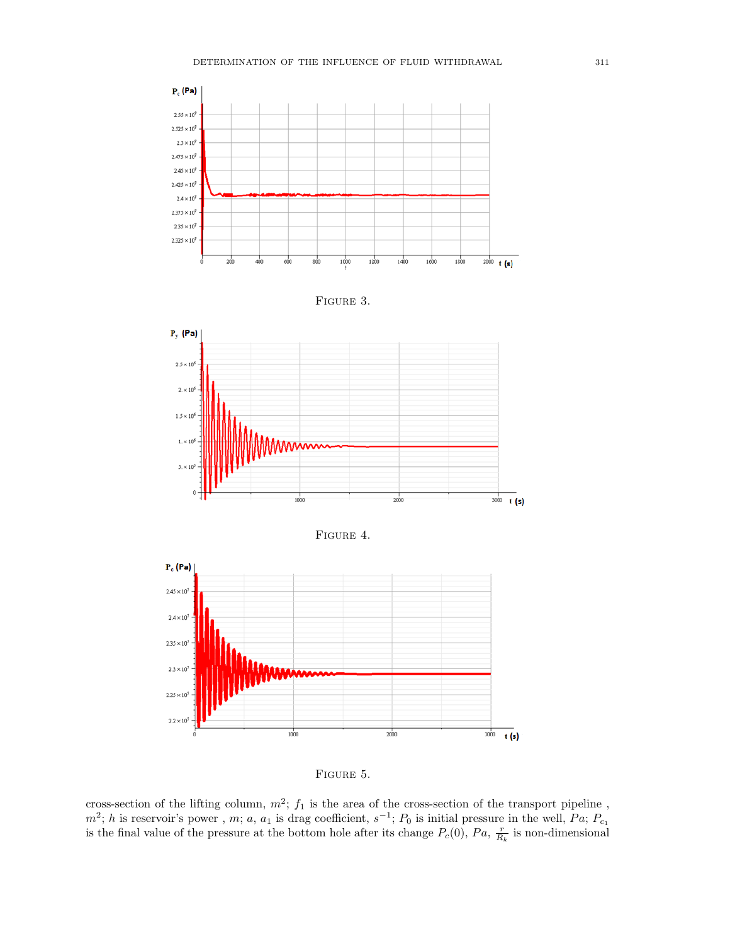









FIGURE 5.

cross-section of the lifting column,  $m^2$ ;  $f_1$  is the area of the cross-section of the transport pipeline,  $m^2$ ; h is reservoir's power, m; a, a<sub>1</sub> is drag coefficient,  $s^{-1}$ ;  $P_0$  is initial pressure in the well,  $Pa$ ;  $P_{c_1}$ is the final value of the pressure at the bottom hole after its change  $P_c(0)$ ,  $Pa$ ,  $\frac{r}{R_k}$  is non-dimensional